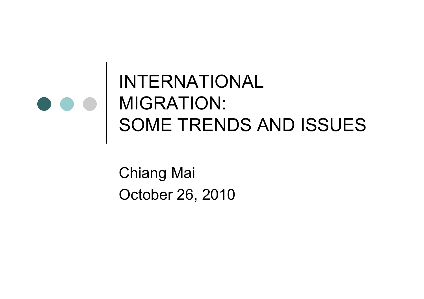### INTERNATIONAL MIGRATION:SOME TRENDS AND ISSUES

Chiang MaiOctober 26, 2010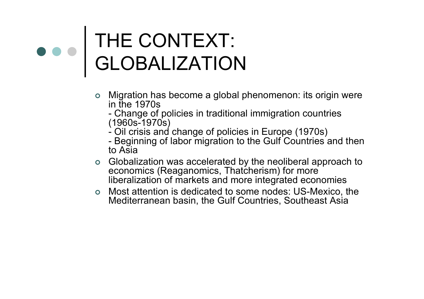### THE CONTEXT: GLOBALIZATION

- o Migration has become a global phenomenon: its origin were in the 1970s
	- I nange o Change of policies in traditional immigration countries<br>1960s-1970s) (1960s-1970s)
	- Oil crisis anc Oil crisis and change of policies in Europe (1970s) -
	- Beginning of labor migration to the Gulf Countries and then<br>o Asia to Asia
- **o** Globalization was accelerated by the neoliberal approach to conomics (Because Theteborism) for more economics (Reaganomics, Thatcherism) for more liberalization of markets and more integrated economies
- o Most attention is dedicated to some nodes: US-Mexico, the **Nexico**, the Mediterranean begin the Cult Countries Southeast Asia Mediterranean basin, the Gulf Countries, Southeast Asia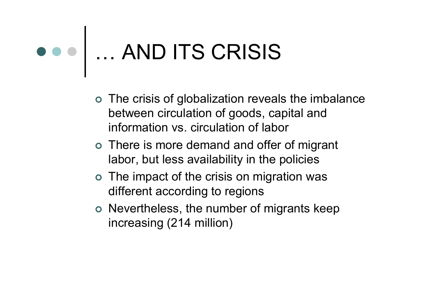## … AND ITS CRISIS

- The crisis of globalization reveals the imbalance between circulation of goods, capital and information vs. circulation of labor
- o There is more demand and offer of migrant labor, but less availability in the policies
- o The impact of the crisis on migration was different according to regions
- o Nevertheless, the number of migrants keep increasing (214 million)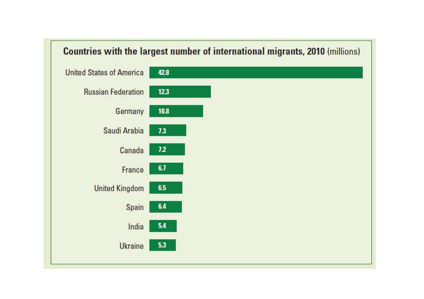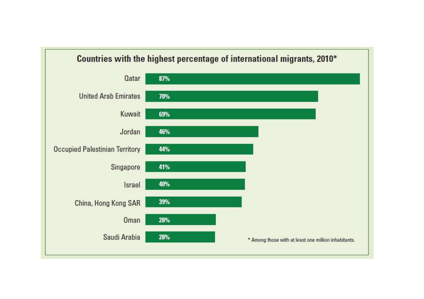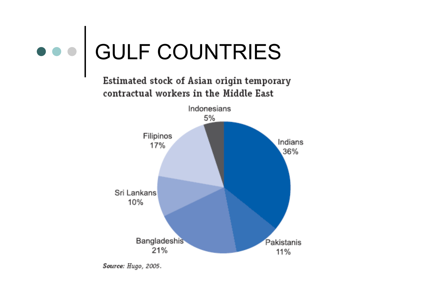

Source: Hugo, 2005.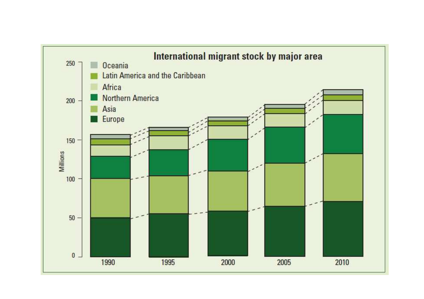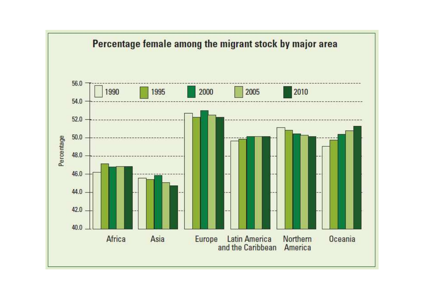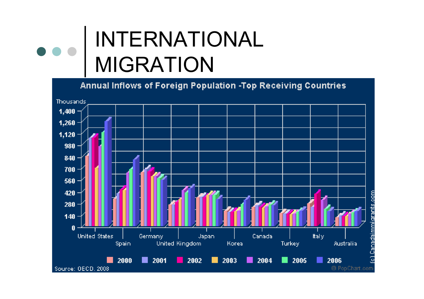#### INTERNATIONAL  $\bullet$ MIGRATION

Annual Inflows of Foreign Population -Top Receiving Countries Thousands 1,400 1,260  $1,120$ 980 840 700  $560 -$ 420  $280 -$ 140  $\mathbf{u}$ **United States** Germany **Japan** Canada Italy Spain. **United Kingdom** Korea Turkey Australia 2000 ■ 2001 2002 2003 2004  $\blacksquare$  2005 2006 . l. . . a a © Pop Chart.com Source: OECD, 2008

Canadaimmigrants.com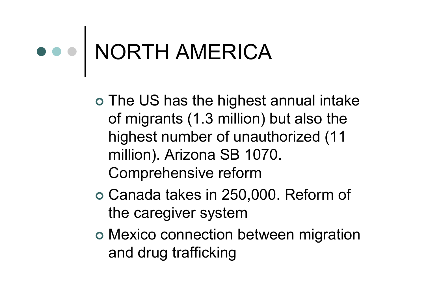### NORTH AMERICA

- o The US has the highest annual intake of migrants (1.3 million) but also the highest number of unauthorized (11 million). Arizona SB 1070. Comprehensive reform
- Canada takes in 250,000. Reform of the caregiver system
- o Mexico connection between migration and drug trafficking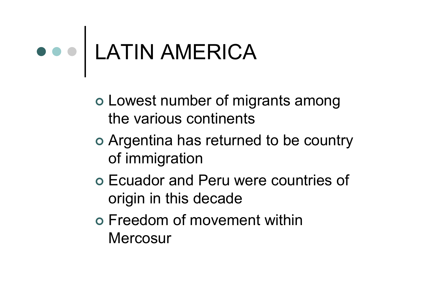### LATIN AMERICA

- Lowest number of migrants among the various continents
- o Argentina has returned to be country of immigration
- o Ecuador and Peru were countries of origin in this decade
- Freedom of movement within **Mercosur**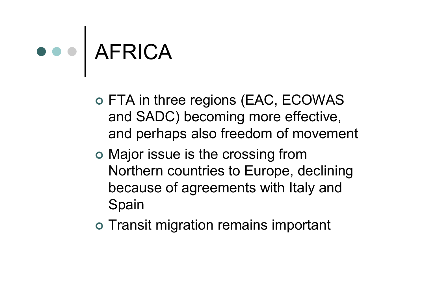# o o AFRICA

- o FTA in three regions (EAC, ECOWAS and SADC) becoming more effective, and perhaps also freedom of movement
- o Major issue is the crossing from Northern countries to Europe, declining because of agreements with Italy and Spain
- o Transit migration remains important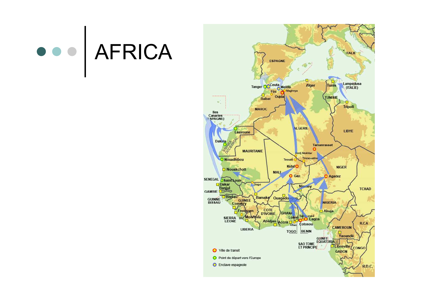# OOO AFRICA

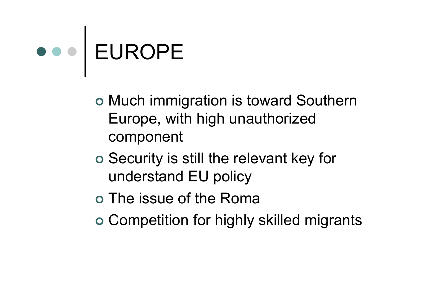# EUROPE

- o Much immigration is toward Southern Europe, with high unauthorized component
- o Security is still the relevant key for understand EU policy
- o The issue of the Roma
- Competition for highly skilled migrants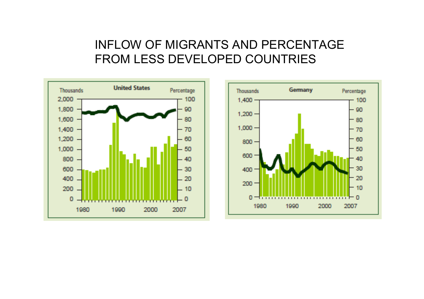#### INFLOW OF MIGRANTS AND PERCENTAGE FROM LESS DEVELOPED COUNTRIES

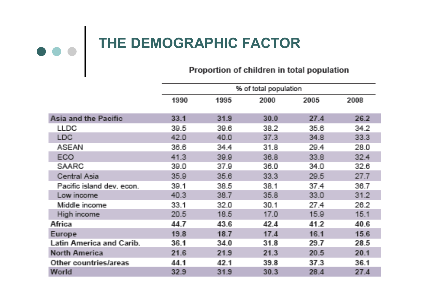# THE DEMOGRAPHIC FACTOR<br>Proportion of children in total population

|                                 |      | % of total population |      |      |      |  |  |
|---------------------------------|------|-----------------------|------|------|------|--|--|
|                                 | 1990 | 1995                  | 2000 | 2005 | 2008 |  |  |
| Asia and the Pacific            | 33.1 | 31.9                  | 30.0 | 27.4 | 26.2 |  |  |
| <b>LLDC</b>                     | 39.5 | 39.6                  | 38.2 | 35.6 | 34.2 |  |  |
| <b>LDC</b>                      | 42.0 | 40.0                  | 37.3 | 34.8 | 33.3 |  |  |
| <b>ASEAN</b>                    | 36.6 | 34.4                  | 31.8 | 29.4 | 28.0 |  |  |
| ECO                             | 41.3 | 39.9                  | 36.8 | 33.8 | 32.4 |  |  |
| <b>SAARC</b>                    | 39.0 | 37.9                  | 36.0 | 34.0 | 32.6 |  |  |
| Central Asia                    | 35.9 | 35.6                  | 33.3 | 29.5 | 27.7 |  |  |
| Pacific island dev. econ.       | 39.1 | 38.5                  | 38.1 | 37.4 | 36.7 |  |  |
| Low income                      | 40.3 | 38.7                  | 35.8 | 33.0 | 31.2 |  |  |
| Middle income                   | 33.1 | 32.0                  | 30.1 | 27.4 | 26.2 |  |  |
| High income                     | 20.5 | 18.5                  | 17.0 | 15.9 | 15.1 |  |  |
| Africa                          | 44.7 | 43.6                  | 42.4 | 41.2 | 40.6 |  |  |
| Europe                          | 19.8 | 18.7                  | 17.4 | 16.1 | 15.6 |  |  |
| <b>Latin America and Carib.</b> | 36.1 | 34.0                  | 31.8 | 29.7 | 28.5 |  |  |
| <b>North America</b>            | 21.6 | 21.9                  | 21.3 | 20.5 | 20.1 |  |  |
| Other countries/areas           | 44.1 | 42.1                  | 39.8 | 37.3 | 36.1 |  |  |
| World                           | 32.9 | 31.9                  | 30.3 | 28.4 | 27.4 |  |  |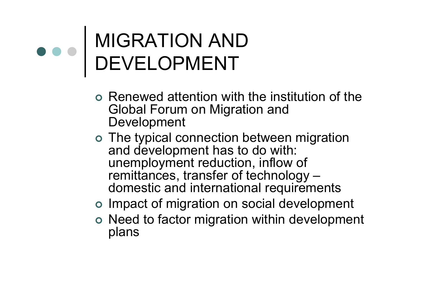### MIGRATION AND DEVELOPMENT

- o Renewed attention with the institution of the<br>Clabel Ferum on Migration and Global Forum on Migration and Development
- o The typical connection between migration<br>and dovelopment has to do with: and development has to do with: unemployment reduction, inflow of remittances, transfer of technology –<br>domestic and international requireme domestic and international requirements
- o Impact of migration on social development
- o Need to factor migration within development plans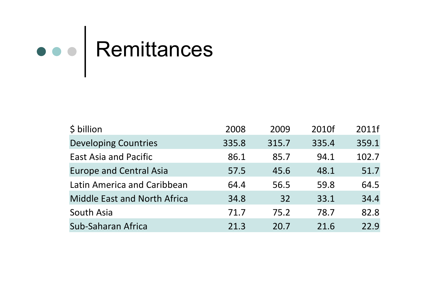### Remittances

| \$ billion                          | 2008  | 2009  | 2010f | 2011f |
|-------------------------------------|-------|-------|-------|-------|
| <b>Developing Countries</b>         | 335.8 | 315.7 | 335.4 | 359.1 |
| <b>East Asia and Pacific</b>        | 86.1  | 85.7  | 94.1  | 102.7 |
| <b>Europe and Central Asia</b>      | 57.5  | 45.6  | 48.1  | 51.7  |
| Latin America and Caribbean         | 64.4  | 56.5  | 59.8  | 64.5  |
| <b>Middle East and North Africa</b> | 34.8  | 32    | 33.1  | 34.4  |
| South Asia                          | 71.7  | 75.2  | 78.7  | 82.8  |
| Sub-Saharan Africa                  | 21.3  | 20.7  | 21.6  | 22.9  |
|                                     |       |       |       |       |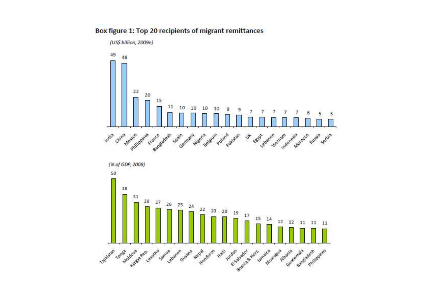#### Box figure 1: Top 20 recipients of migrant remittances



(US\$ billion, 2009e)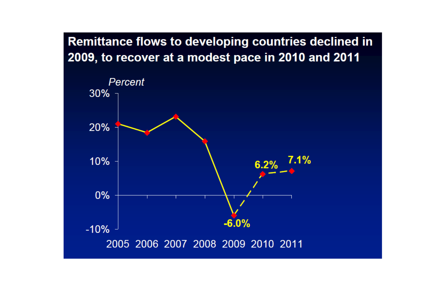#### Remittance flows to developing countries declined in 2009, to recover at a modest pace in 2010 and 2011

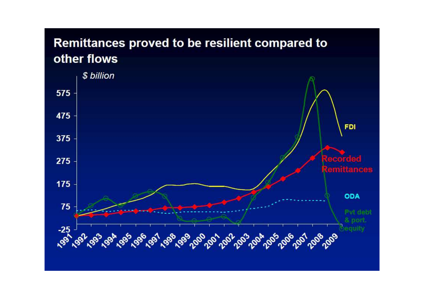#### Remittances proved to be resilient compared to other flows

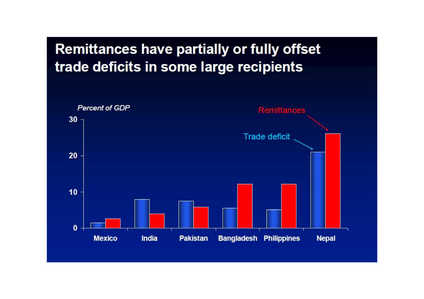

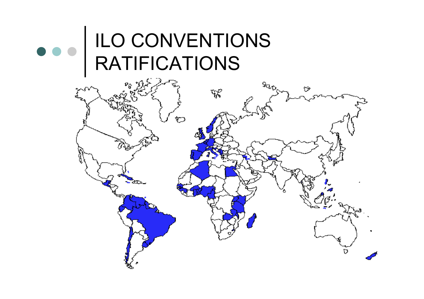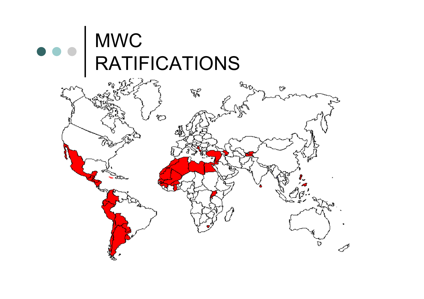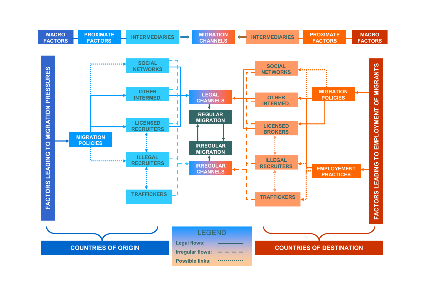